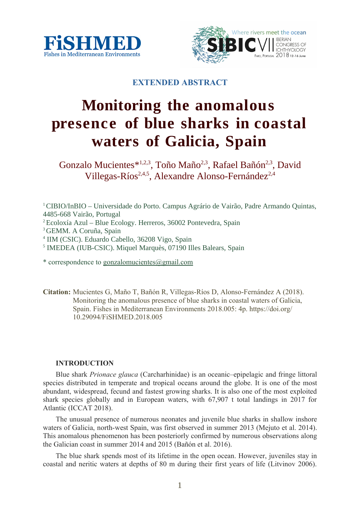



**EXTENDED ABSTRACT**

# **Monitoring the anomalous presence of blue sharks in coastal waters of Galicia, Spain**

Gonzalo Mucientes\*<sup>1,2,3</sup>, Toño Maño<sup>2,3</sup>, Rafael Bañón<sup>2,3</sup>, David Villegas-Ríos<sup>2,4,5</sup>, Alexandre Alonso-Fernández<sup>2,4</sup>

<sup>1</sup> CIBIO/InBIO – Universidade do Porto. Campus Agrário de Vairão, Padre Armando Quintas, 4485-668 Vairão, Portugal

2 Ecoloxía Azul – Blue Ecology. Herreros, 36002 Pontevedra, Spain

<sup>3</sup> GEMM. A Coruña, Spain

4 IIM (CSIC). Eduardo Cabello, 36208 Vigo, Spain

<sup>5</sup> IMEDEA (IUB-CSIC). Miquel Marquès, 07190 Illes Balears, Spain

\* correspondence to gonzalomucientes $@g$ gmail.com

**Citation:** Mucientes G, Maño T, Bañón R, Villegas-Ríos D, Alonso-Fernández A (2018). Monitoring the anomalous presence of blue sharks in coastal waters of Galicia, Spain. Fishes in Mediterranean Environments 2018.005: 4p. https://doi.org/ 10.29094/FiSHMED.2018.005

# **INTRODUCTION**

Blue shark *Prionace glauca* (Carcharhinidae) is an oceanic–epipelagic and fringe littoral species distributed in temperate and tropical oceans around the globe. It is one of the most abundant, widespread, fecund and fastest growing sharks. It is also one of the most exploited shark species globally and in European waters, with 67,907 t total landings in 2017 for Atlantic (ICCAT 2018).

The unusual presence of numerous neonates and juvenile blue sharks in shallow inshore waters of Galicia, north-west Spain, was first observed in summer 2013 (Mejuto et al. 2014). This anomalous phenomenon has been posteriorly confirmed by numerous observations along the Galician coast in summer 2014 and 2015 (Bañón et al. 2016).

The blue shark spends most of its lifetime in the open ocean. However, juveniles stay in coastal and neritic waters at depths of 80 m during their first years of life (Litvinov 2006).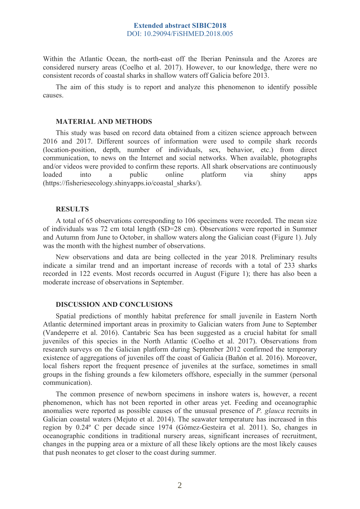# **Extended abstract SIBIC2018** DOI: 10.29094/FiSHMED.2018.005

Within the Atlantic Ocean, the north-east off the Iberian Peninsula and the Azores are considered nursery areas (Coelho et al. 2017). However, to our knowledge, there were no consistent records of coastal sharks in shallow waters off Galicia before 2013.

The aim of this study is to report and analyze this phenomenon to identify possible causes.

#### **MATERIAL AND METHODS**

This study was based on record data obtained from a citizen science approach between 2016 and 2017. Different sources of information were used to compile shark records (location-position, depth, number of individuals, sex, behavior, etc.) from direct communication, to news on the Internet and social networks. When available, photographs and/or videos were provided to confirm these reports. All shark observations are continuously loaded into a public online platform via shiny apps (https://fisheriesecology.shinyapps.io/coastal\_sharks/).

# **RESULTS**

A total of 65 observations corresponding to 106 specimens were recorded. The mean size of individuals was 72 cm total length (SD=28 cm). Observations were reported in Summer and Autumn from June to October, in shallow waters along the Galician coast (Figure 1). July was the month with the highest number of observations.

New observations and data are being collected in the year 2018. Preliminary results indicate a similar trend and an important increase of records with a total of 233 sharks recorded in 122 events. Most records occurred in August (Figure 1); there has also been a moderate increase of observations in September.

#### **DISCUSSION AND CONCLUSIONS**

Spatial predictions of monthly habitat preference for small juvenile in Eastern North Atlantic determined important areas in proximity to Galician waters from June to September (Vandeperre et al. 2016). Cantabric Sea has been suggested as a crucial habitat for small juveniles of this species in the North Atlantic (Coelho et al. 2017). Observations from research surveys on the Galician platform during September 2012 confirmed the temporary existence of aggregations of juveniles off the coast of Galicia (Bañón et al. 2016). Moreover, local fishers report the frequent presence of juveniles at the surface, sometimes in small groups in the fishing grounds a few kilometers offshore, especially in the summer (personal communication).

The common presence of newborn specimens in inshore waters is, however, a recent phenomenon, which has not been reported in other areas yet. Feeding and oceanographic anomalies were reported as possible causes of the unusual presence of *P. glauca* recruits in Galician coastal waters (Mejuto et al. 2014). The seawater temperature has increased in this region by 0.24º C per decade since 1974 (Gómez-Gesteira et al. 2011). So, changes in oceanographic conditions in traditional nursery areas, significant increases of recruitment, changes in the pupping area or a mixture of all these likely options are the most likely causes that push neonates to get closer to the coast during summer.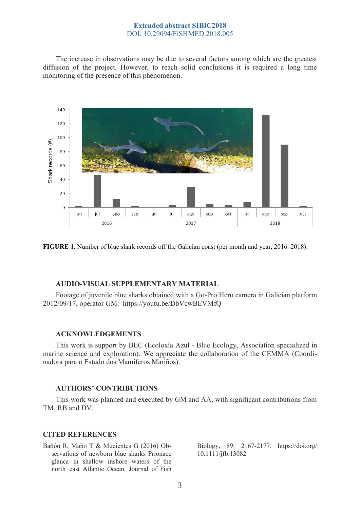# **Extended abstract SIBIC2018** DOI: 10.29094/FiSHMED.2018.005

The increase in observations may be due to several factors among which are the greatest diffusion of the project. However, to reach solid conclusions it is required a long time monitoring of the presence of this phenomenon.



**FIGURE 1**. Number of blue shark records off the Galician coast (per month and year, 2016–2018).

#### **AUDIO-VISUAL SUPPLEMENTARY MATERIAL**

Footage of juvenile blue sharks obtained with a Go-Pro Hero camera in Galician platform 2012/09/17, operator GM: https://youtu.be/DbVcwBEVMfQ

### **ACKNOWLEDGEMENTS**

This work is support by BEC (Ecoloxía Azul - Blue Ecology, Association specialized in marine science and exploration). We appreciate the collaboration of the CEMMA (Coordinadora para o Estudo dos Mamíferos Mariños).

#### **AUTHORS' CONTRIBUTIONS**

This work was planned and executed by GM and AA, with significant contributions from TM, RB and DV.

#### **CITED REFERENCES**

Bañón R, Maño T & Mucientes G (2016) Observations of newborn blue sharks Prionace glauca in shallow inshore waters of the north east Atlantic Ocean. Journal of Fish - Biology, 89: 2167-2177. https://doi.org/ 10.1111/jfb.13082